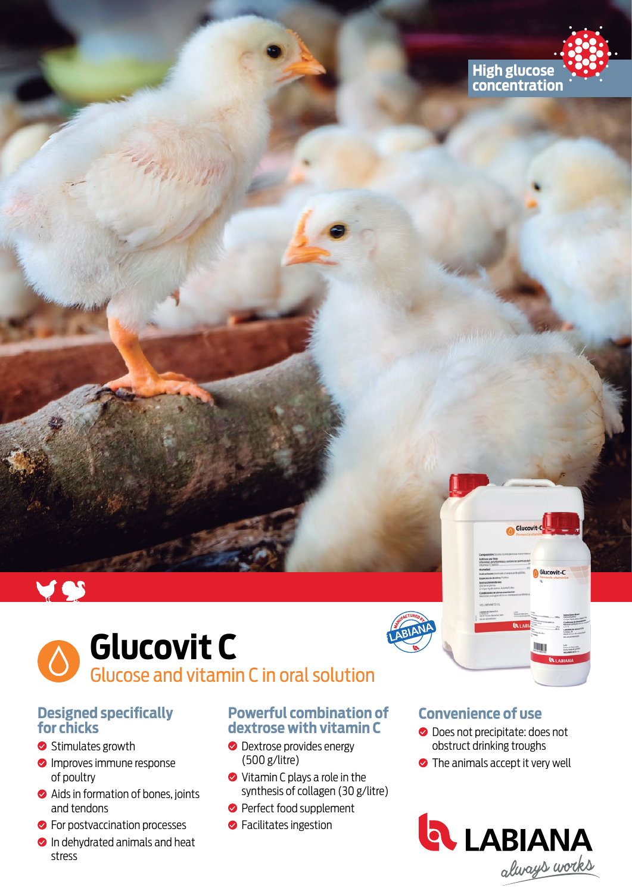



# **Glucovit C** Glucose and vitamin C in oral solution

### **Designed specifically for chicks**

- Stimulates growth
- **O** Improves immune response of poultry
- **◆** Aids in formation of bones, joints and tendons
- **C** For postvaccination processes
- **In dehydrated animals and heat** stress

### **Powerful combination of dextrose with vitamin C**

- **O** Dextrose provides energy (500 g/litre)
- **◆** Vitamin C plays a role in the synthesis of collagen (30 g/litre)
- **Perfect food supplement**
- **S** Facilitates ingestion

### **Convenience of use**

**O** Does not precipitate: does not obstruct drinking troughs

Glucovit

**•** The animals accept it very well